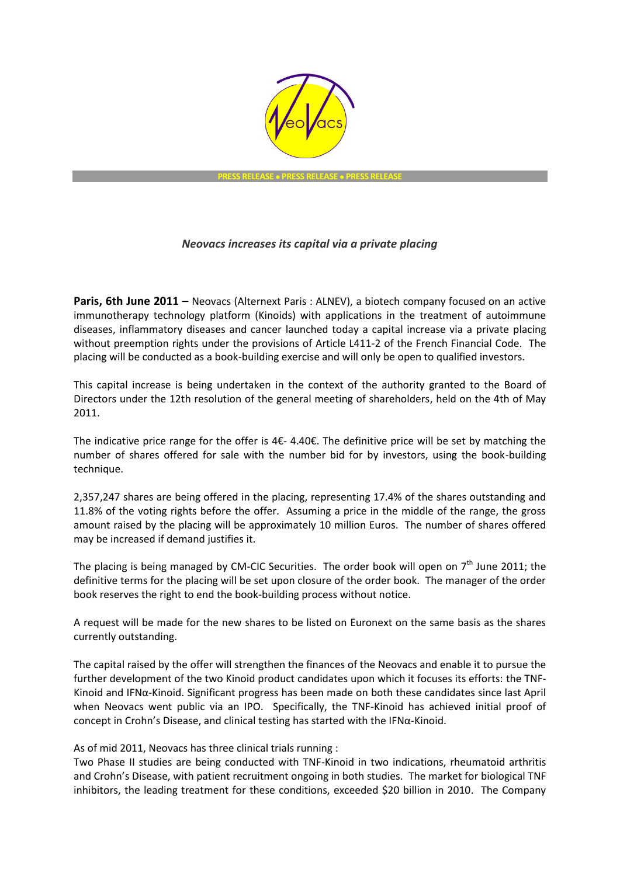

## *Neovacs increases its capital via a private placing*

**Paris, 6th June 2011** – Neovacs (Alternext Paris : ALNEV), a biotech company focused on an active immunotherapy technology platform (Kinoids) with applications in the treatment of autoimmune diseases, inflammatory diseases and cancer launched today a capital increase via a private placing without preemption rights under the provisions of Article L411-2 of the French Financial Code. The placing will be conducted as a book-building exercise and will only be open to qualified investors.

This capital increase is being undertaken in the context of the authority granted to the Board of Directors under the 12th resolution of the general meeting of shareholders, held on the 4th of May 2011.

The indicative price range for the offer is 4€- 4.40€. The definitive price will be set by matching the number of shares offered for sale with the number bid for by investors, using the book-building technique.

2,357,247 shares are being offered in the placing, representing 17.4% of the shares outstanding and 11.8% of the voting rights before the offer. Assuming a price in the middle of the range, the gross amount raised by the placing will be approximately 10 million Euros. The number of shares offered may be increased if demand justifies it.

The placing is being managed by CM-CIC Securities. The order book will open on  $7<sup>th</sup>$  June 2011; the definitive terms for the placing will be set upon closure of the order book. The manager of the order book reserves the right to end the book-building process without notice.

A request will be made for the new shares to be listed on Euronext on the same basis as the shares currently outstanding.

The capital raised by the offer will strengthen the finances of the Neovacs and enable it to pursue the further development of the two Kinoid product candidates upon which it focuses its efforts: the TNF-Kinoid and IFNα-Kinoid. Significant progress has been made on both these candidates since last April when Neovacs went public via an IPO. Specifically, the TNF-Kinoid has achieved initial proof of concept in Crohn's Disease, and clinical testing has started with the IFNα-Kinoid.

As of mid 2011, Neovacs has three clinical trials running :

Two Phase II studies are being conducted with TNF-Kinoid in two indications, rheumatoid arthritis and Crohn's Disease, with patient recruitment ongoing in both studies. The market for biological TNF inhibitors, the leading treatment for these conditions, exceeded \$20 billion in 2010. The Company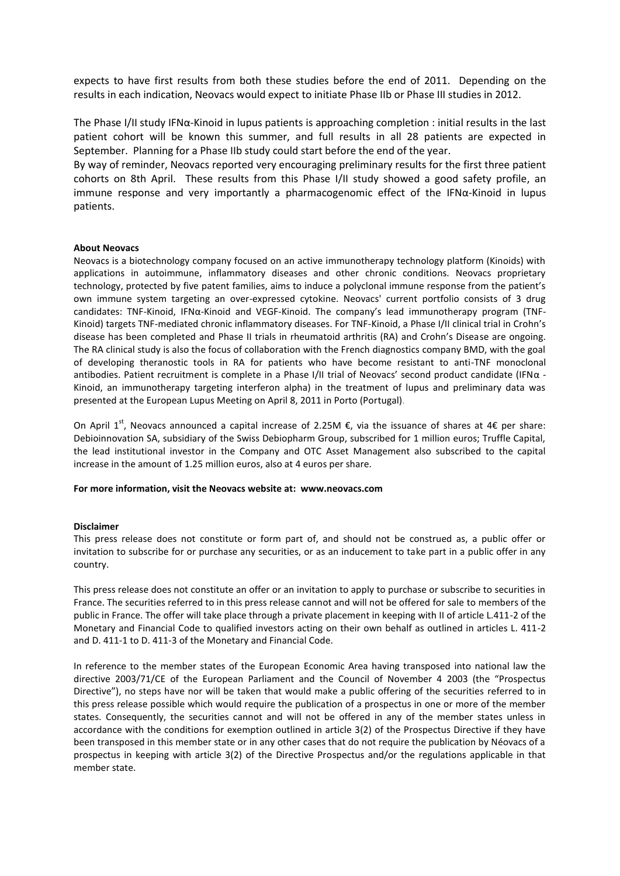expects to have first results from both these studies before the end of 2011. Depending on the results in each indication, Neovacs would expect to initiate Phase IIb or Phase III studies in 2012.

The Phase I/II study IFN $\alpha$ -Kinoid in lupus patients is approaching completion : initial results in the last patient cohort will be known this summer, and full results in all 28 patients are expected in September. Planning for a Phase IIb study could start before the end of the year.

By way of reminder, Neovacs reported very encouraging preliminary results for the first three patient cohorts on 8th April. These results from this Phase I/II study showed a good safety profile, an immune response and very importantly a pharmacogenomic effect of the IFNα-Kinoid in lupus patients.

## **About Neovacs**

Neovacs is a biotechnology company focused on an active immunotherapy technology platform (Kinoids) with applications in autoimmune, inflammatory diseases and other chronic conditions. Neovacs proprietary technology, protected by five patent families, aims to induce a polyclonal immune response from the patient's own immune system targeting an over-expressed cytokine. Neovacs' current portfolio consists of 3 drug candidates: TNF-Kinoid, IFNα-Kinoid and VEGF-Kinoid. The company's lead immunotherapy program (TNF-Kinoid) targets TNF-mediated chronic inflammatory diseases. For TNF-Kinoid, a Phase I/II clinical trial in Crohn's disease has been completed and Phase II trials in rheumatoid arthritis (RA) and Crohn's Disease are ongoing. The RA clinical study is also the focus of collaboration with the French diagnostics company BMD, with the goal of developing theranostic tools in RA for patients who have become resistant to anti-TNF monoclonal antibodies. Patient recruitment is complete in a Phase I/II trial of Neovacs' second product candidate (IFNα - Kinoid, an immunotherapy targeting interferon alpha) in the treatment of lupus and preliminary data was presented at the European Lupus Meeting on April 8, 2011 in Porto (Portugal).

On April 1<sup>st</sup>, Neovacs announced a capital increase of 2.25M €, via the issuance of shares at 4€ per share: Debioinnovation SA, subsidiary of the Swiss Debiopharm Group, subscribed for 1 million euros; Truffle Capital, the lead institutional investor in the Company and OTC Asset Management also subscribed to the capital increase in the amount of 1.25 million euros, also at 4 euros per share.

## **For more information, visit the Neovacs website at: www.neovacs.com**

## **Disclaimer**

This press release does not constitute or form part of, and should not be construed as, a public offer or invitation to subscribe for or purchase any securities, or as an inducement to take part in a public offer in any country.

This press release does not constitute an offer or an invitation to apply to purchase or subscribe to securities in France. The securities referred to in this press release cannot and will not be offered for sale to members of the public in France. The offer will take place through a private placement in keeping with II of article L.411-2 of the Monetary and Financial Code to qualified investors acting on their own behalf as outlined in articles L. 411-2 and D. 411-1 to D. 411-3 of the Monetary and Financial Code.

In reference to the member states of the European Economic Area having transposed into national law the directive 2003/71/CE of the European Parliament and the Council of November 4 2003 (the "Prospectus Directive"), no steps have nor will be taken that would make a public offering of the securities referred to in this press release possible which would require the publication of a prospectus in one or more of the member states. Consequently, the securities cannot and will not be offered in any of the member states unless in accordance with the conditions for exemption outlined in article 3(2) of the Prospectus Directive if they have been transposed in this member state or in any other cases that do not require the publication by Néovacs of a prospectus in keeping with article 3(2) of the Directive Prospectus and/or the regulations applicable in that member state.